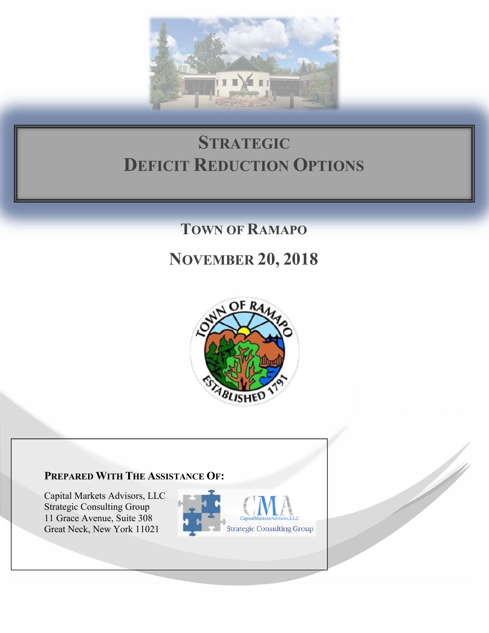

# **STRATEGIC DEFICIT REDUCTION OPTIONS**

# **TOWN OF RAMAPO**

# **NOVEMBER 20, 2018**



## **PREPARED WITH THE ASSISTANCE OF:**

Capital Markets Advisors, LLC Strategic Consulting Group 11 Grace Avenue, Suite 308 Great Neck, New York 11021



W.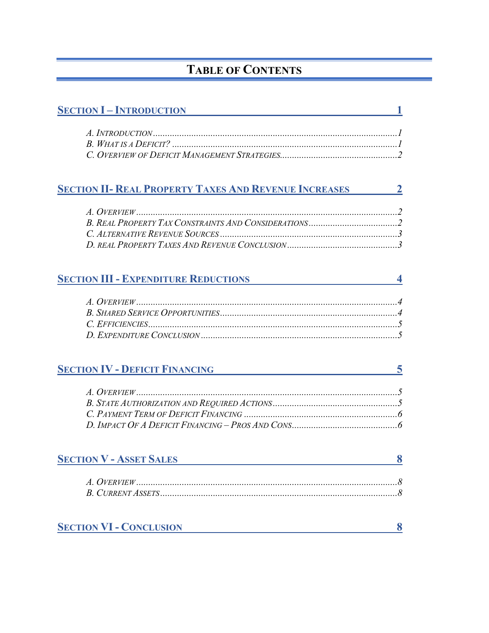# **TABLE OF CONTENTS**

| <b>SECTION I – INTRODUCTION</b>                                |   |
|----------------------------------------------------------------|---|
|                                                                |   |
|                                                                |   |
| <b>SECTION II- REAL PROPERTY TAXES AND REVENUE INCREASES</b> 2 |   |
|                                                                |   |
|                                                                |   |
|                                                                |   |
|                                                                |   |
| <b>SECTION III - EXPENDITURE REDUCTIONS</b>                    |   |
|                                                                |   |
|                                                                |   |
|                                                                |   |
|                                                                |   |
|                                                                |   |
| <b>SECTION IV - DEFICIT FINANCING</b>                          | 5 |
|                                                                |   |
|                                                                |   |
|                                                                |   |
|                                                                |   |
| <b>SECTION V - ASSET SALES</b>                                 | 8 |
|                                                                |   |
|                                                                |   |
|                                                                |   |
| <b>SECTION VI - CONCLUSION</b>                                 | 8 |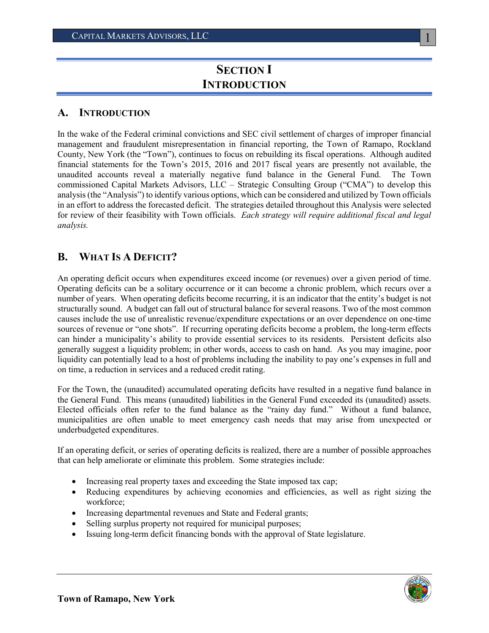# **SECTION I INTRODUCTION**

#### **A. INTRODUCTION**

In the wake of the Federal criminal convictions and SEC civil settlement of charges of improper financial management and fraudulent misrepresentation in financial reporting, the Town of Ramapo, Rockland County, New York (the "Town"), continues to focus on rebuilding its fiscal operations. Although audited financial statements for the Town's 2015, 2016 and 2017 fiscal years are presently not available, the unaudited accounts reveal a materially negative fund balance in the General Fund. The Town commissioned Capital Markets Advisors, LLC – Strategic Consulting Group ("CMA") to develop this analysis(the "Analysis") to identify various options, which can be considered and utilized by Town officials in an effort to address the forecasted deficit. The strategies detailed throughout this Analysis were selected for review of their feasibility with Town officials. *Each strategy will require additional fiscal and legal analysis.*

### **B. WHAT IS A DEFICIT?**

An operating deficit occurs when expenditures exceed income (or revenues) over a given period of time. Operating deficits can be a solitary occurrence or it can become a chronic problem, which recurs over a number of years. When operating deficits become recurring, it is an indicator that the entity's budget is not structurally sound. A budget can fall out of structural balance for several reasons. Two of the most common causes include the use of unrealistic revenue/expenditure expectations or an over dependence on one-time sources of revenue or "one shots". If recurring operating deficits become a problem, the long-term effects can hinder a municipality's ability to provide essential services to its residents. Persistent deficits also generally suggest a liquidity problem; in other words, access to cash on hand. As you may imagine, poor liquidity can potentially lead to a host of problems including the inability to pay one's expenses in full and on time, a reduction in services and a reduced credit rating.

For the Town, the (unaudited) accumulated operating deficits have resulted in a negative fund balance in the General Fund. This means (unaudited) liabilities in the General Fund exceeded its (unaudited) assets. Elected officials often refer to the fund balance as the "rainy day fund." Without a fund balance, municipalities are often unable to meet emergency cash needs that may arise from unexpected or underbudgeted expenditures.

If an operating deficit, or series of operating deficits is realized, there are a number of possible approaches that can help ameliorate or eliminate this problem. Some strategies include:

- Increasing real property taxes and exceeding the State imposed tax cap;
- Reducing expenditures by achieving economies and efficiencies, as well as right sizing the workforce;
- Increasing departmental revenues and State and Federal grants;
- Selling surplus property not required for municipal purposes;
- Issuing long-term deficit financing bonds with the approval of State legislature.

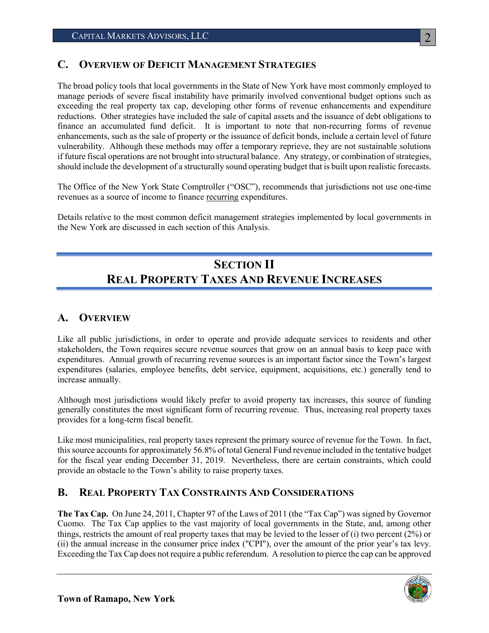### **C. OVERVIEW OF DEFICIT MANAGEMENT STRATEGIES**

The broad policy tools that local governments in the State of New York have most commonly employed to manage periods of severe fiscal instability have primarily involved conventional budget options such as exceeding the real property tax cap, developing other forms of revenue enhancements and expenditure reductions. Other strategies have included the sale of capital assets and the issuance of debt obligations to finance an accumulated fund deficit. It is important to note that non-recurring forms of revenue enhancements, such as the sale of property or the issuance of deficit bonds, include a certain level of future vulnerability. Although these methods may offer a temporary reprieve, they are not sustainable solutions if future fiscal operations are not brought into structural balance. Any strategy, or combination of strategies, should include the development of a structurally sound operating budget that is built upon realistic forecasts.

The Office of the New York State Comptroller ("OSC"), recommends that jurisdictions not use one-time revenues as a source of income to finance recurring expenditures.

Details relative to the most common deficit management strategies implemented by local governments in the New York are discussed in each section of this Analysis.

# **SECTION II REAL PROPERTY TAXES AND REVENUE INCREASES**

### **A. OVERVIEW**

Like all public jurisdictions, in order to operate and provide adequate services to residents and other stakeholders, the Town requires secure revenue sources that grow on an annual basis to keep pace with expenditures. Annual growth of recurring revenue sources is an important factor since the Town's largest expenditures (salaries, employee benefits, debt service, equipment, acquisitions, etc.) generally tend to increase annually.

Although most jurisdictions would likely prefer to avoid property tax increases, this source of funding generally constitutes the most significant form of recurring revenue. Thus, increasing real property taxes provides for a long-term fiscal benefit.

Like most municipalities, real property taxes represent the primary source of revenue for the Town. In fact, this source accounts for approximately 56.8% of total General Fund revenue included in the tentative budget for the fiscal year ending December 31, 2019. Nevertheless, there are certain constraints, which could provide an obstacle to the Town's ability to raise property taxes.

### **B. REAL PROPERTY TAX CONSTRAINTS AND CONSIDERATIONS**

**The Tax Cap.** On June 24, 2011, Chapter 97 of the Laws of 2011 (the "Tax Cap") was signed by Governor Cuomo. The Tax Cap applies to the vast majority of local governments in the State, and, among other things, restricts the amount of real property taxes that may be levied to the lesser of (i) two percent (2%) or (ii) the annual increase in the consumer price index ("CPI"), over the amount of the prior year's tax levy. Exceeding the Tax Cap does not require a public referendum. A resolution to pierce the cap can be approved



 $\mathcal{D}_{\mathcal{L}}$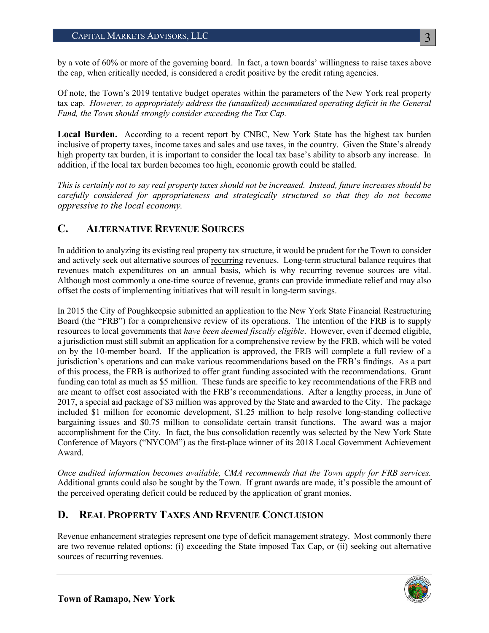by a vote of 60% or more of the governing board. In fact, a town boards' willingness to raise taxes above the cap, when critically needed, is considered a credit positive by the credit rating agencies.

Of note, the Town's 2019 tentative budget operates within the parameters of the New York real property tax cap. *However, to appropriately address the (unaudited) accumulated operating deficit in the General Fund, the Town should strongly consider exceeding the Tax Cap.* 

**Local Burden.** According to a recent report by CNBC, New York State has the highest tax burden inclusive of property taxes, income taxes and sales and use taxes, in the country. Given the State's already high property tax burden, it is important to consider the local tax base's ability to absorb any increase. In addition, if the local tax burden becomes too high, economic growth could be stalled.

*This is certainly not to say real property taxes should not be increased. Instead, future increases should be carefully considered for appropriateness and strategically structured so that they do not become oppressive to the local economy.* 

### **C. ALTERNATIVE REVENUE SOURCES**

In addition to analyzing its existing real property tax structure, it would be prudent for the Town to consider and actively seek out alternative sources of recurring revenues. Long-term structural balance requires that revenues match expenditures on an annual basis, which is why recurring revenue sources are vital. Although most commonly a one-time source of revenue, grants can provide immediate relief and may also offset the costs of implementing initiatives that will result in long-term savings.

In 2015 the City of Poughkeepsie submitted an application to the New York State Financial Restructuring Board (the "FRB") for a comprehensive review of its operations. The intention of the FRB is to supply resources to local governments that *have been deemed fiscally eligible*. However, even if deemed eligible, a jurisdiction must still submit an application for a comprehensive review by the FRB, which will be voted on by the 10-member board. If the application is approved, the FRB will complete a full review of a jurisdiction's operations and can make various recommendations based on the FRB's findings. As a part of this process, the FRB is authorized to offer grant funding associated with the recommendations. Grant funding can total as much as \$5 million. These funds are specific to key recommendations of the FRB and are meant to offset cost associated with the FRB's recommendations. After a lengthy process, in June of 2017, a special aid package of \$3 million was approved by the State and awarded to the City. The package included \$1 million for economic development, \$1.25 million to help resolve long-standing collective bargaining issues and \$0.75 million to consolidate certain transit functions. The award was a major accomplishment for the City. In fact, the bus consolidation recently was selected by the New York State Conference of Mayors ("NYCOM") as the first-place winner of its 2018 Local Government Achievement Award.

*Once audited information becomes available, CMA recommends that the Town apply for FRB services.*  Additional grants could also be sought by the Town. If grant awards are made, it's possible the amount of the perceived operating deficit could be reduced by the application of grant monies.

### **D. REAL PROPERTY TAXES AND REVENUE CONCLUSION**

Revenue enhancement strategies represent one type of deficit management strategy. Most commonly there are two revenue related options: (i) exceeding the State imposed Tax Cap, or (ii) seeking out alternative sources of recurring revenues.

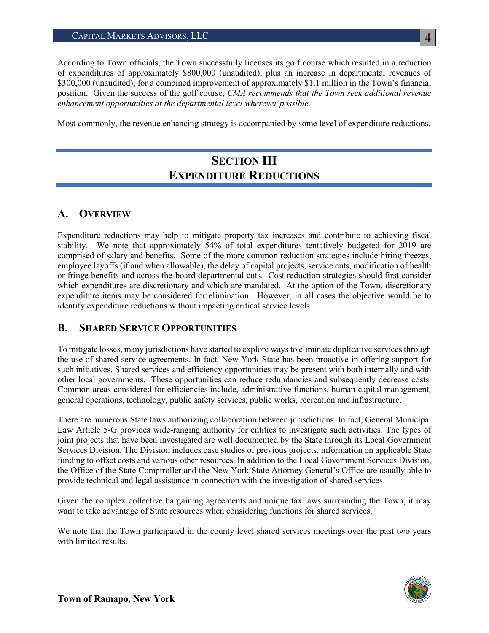#### CAPITAL MARKETS ADVISORS, LLC

According to Town officials, the Town successfully licenses its golf course which resulted in a reduction of expenditures of approximately \$800,000 (unaudited), plus an increase in departmental revenues of \$300,000 (unaudited), for a combined improvement of approximately \$1.1 million in the Town's financial position. Given the success of the golf course, *CMA recommends that the Town seek additional revenue enhancement opportunities at the departmental level wherever possible.* 

Most commonly, the revenue enhancing strategy is accompanied by some level of expenditure reductions.

# **SECTION III EXPENDITURE REDUCTIONS**

### **A. OVERVIEW**

Expenditure reductions may help to mitigate property tax increases and contribute to achieving fiscal stability. We note that approximately 54% of total expenditures tentatively budgeted for 2019 are comprised of salary and benefits. Some of the more common reduction strategies include hiring freezes, employee layoffs (if and when allowable), the delay of capital projects, service cuts, modification of health or fringe benefits and across-the-board departmental cuts. Cost reduction strategies should first consider which expenditures are discretionary and which are mandated. At the option of the Town, discretionary expenditure items may be considered for elimination. However, in all cases the objective would be to identify expenditure reductions without impacting critical service levels.

#### **B. SHARED SERVICE OPPORTUNITIES**

To mitigate losses, many jurisdictions have started to explore ways to eliminate duplicative services through the use of shared service agreements. In fact, New York State has been proactive in offering support for such initiatives. Shared services and efficiency opportunities may be present with both internally and with other local governments. These opportunities can reduce redundancies and subsequently decrease costs. Common areas considered for efficiencies include, administrative functions, human capital management, general operations, technology, public safety services, public works, recreation and infrastructure.

There are numerous State laws authorizing collaboration between jurisdictions. In fact, General Municipal Law Article 5-G provides wide-ranging authority for entities to investigate such activities. The types of joint projects that have been investigated are well documented by the State through its Local Government Services Division. The Division includes case studies of previous projects, information on applicable State funding to offset costs and various other resources. In addition to the Local Government Services Division, the Office of the State Comptroller and the New York State Attorney General's Office are usually able to provide technical and legal assistance in connection with the investigation of shared services.

Given the complex collective bargaining agreements and unique tax laws surrounding the Town, it may want to take advantage of State resources when considering functions for shared services.

We note that the Town participated in the county level shared services meetings over the past two years with limited results.

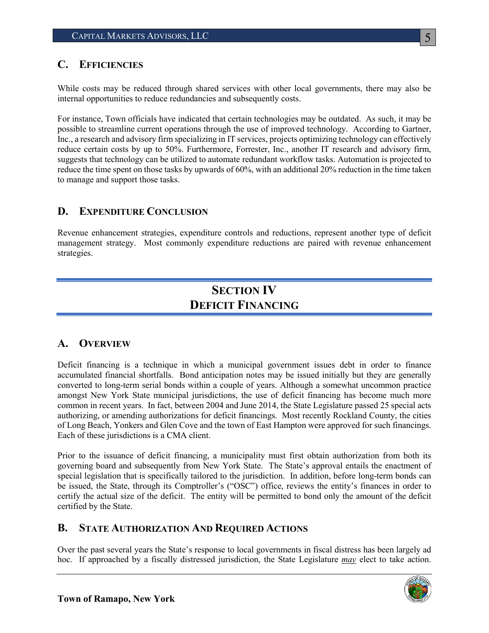### **C. EFFICIENCIES**

While costs may be reduced through shared services with other local governments, there may also be internal opportunities to reduce redundancies and subsequently costs.

For instance, Town officials have indicated that certain technologies may be outdated. As such, it may be possible to streamline current operations through the use of improved technology. According to Gartner, Inc., a research and advisory firm specializing in IT services, projects optimizing technology can effectively reduce certain costs by up to 50%. Furthermore, Forrester, Inc., another IT research and advisory firm, suggests that technology can be utilized to automate redundant workflow tasks. Automation is projected to reduce the time spent on those tasks by upwards of 60%, with an additional 20% reduction in the time taken to manage and support those tasks.

### **D. EXPENDITURE CONCLUSION**

Revenue enhancement strategies, expenditure controls and reductions, represent another type of deficit management strategy. Most commonly expenditure reductions are paired with revenue enhancement strategies.

# **SECTION IV DEFICIT FINANCING**

### **A. OVERVIEW**

Deficit financing is a technique in which a municipal government issues debt in order to finance accumulated financial shortfalls. Bond anticipation notes may be issued initially but they are generally converted to long-term serial bonds within a couple of years. Although a somewhat uncommon practice amongst New York State municipal jurisdictions, the use of deficit financing has become much more common in recent years. In fact, between 2004 and June 2014, the State Legislature passed 25 special acts authorizing, or amending authorizations for deficit financings. Most recently Rockland County, the cities of Long Beach, Yonkers and Glen Cove and the town of East Hampton were approved for such financings. Each of these jurisdictions is a CMA client.

Prior to the issuance of deficit financing, a municipality must first obtain authorization from both its governing board and subsequently from New York State. The State's approval entails the enactment of special legislation that is specifically tailored to the jurisdiction. In addition, before long-term bonds can be issued, the State, through its Comptroller's ("OSC") office, reviews the entity's finances in order to certify the actual size of the deficit. The entity will be permitted to bond only the amount of the deficit certified by the State.

### **B. STATE AUTHORIZATION AND REQUIRED ACTIONS**

Over the past several years the State's response to local governments in fiscal distress has been largely ad hoc. If approached by a fiscally distressed jurisdiction, the State Legislature *may* elect to take action.

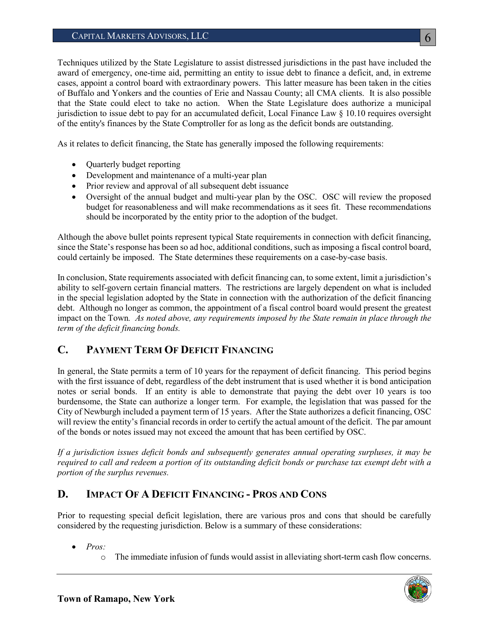Techniques utilized by the State Legislature to assist distressed jurisdictions in the past have included the award of emergency, one-time aid, permitting an entity to issue debt to finance a deficit, and, in extreme cases, appoint a control board with extraordinary powers. This latter measure has been taken in the cities of Buffalo and Yonkers and the counties of Erie and Nassau County; all CMA clients. It is also possible that the State could elect to take no action. When the State Legislature does authorize a municipal jurisdiction to issue debt to pay for an accumulated deficit, Local Finance Law  $\S$  10.10 requires oversight of the entity's finances by the State Comptroller for as long as the deficit bonds are outstanding.

As it relates to deficit financing, the State has generally imposed the following requirements:

- Ouarterly budget reporting
- Development and maintenance of a multi-year plan
- Prior review and approval of all subsequent debt issuance
- Oversight of the annual budget and multi-year plan by the OSC. OSC will review the proposed budget for reasonableness and will make recommendations as it sees fit. These recommendations should be incorporated by the entity prior to the adoption of the budget.

Although the above bullet points represent typical State requirements in connection with deficit financing, since the State's response has been so ad hoc, additional conditions, such as imposing a fiscal control board, could certainly be imposed. The State determines these requirements on a case-by-case basis.

In conclusion, State requirements associated with deficit financing can, to some extent, limit a jurisdiction's ability to self-govern certain financial matters. The restrictions are largely dependent on what is included in the special legislation adopted by the State in connection with the authorization of the deficit financing debt. Although no longer as common, the appointment of a fiscal control board would present the greatest impact on the Town*. As noted above, any requirements imposed by the State remain in place through the term of the deficit financing bonds.*

### **C. PAYMENT TERM OF DEFICIT FINANCING**

In general, the State permits a term of 10 years for the repayment of deficit financing. This period begins with the first issuance of debt, regardless of the debt instrument that is used whether it is bond anticipation notes or serial bonds. If an entity is able to demonstrate that paying the debt over 10 years is too burdensome, the State can authorize a longer term. For example, the legislation that was passed for the City of Newburgh included a payment term of 15 years. After the State authorizes a deficit financing, OSC will review the entity's financial records in order to certify the actual amount of the deficit. The par amount of the bonds or notes issued may not exceed the amount that has been certified by OSC.

*If a jurisdiction issues deficit bonds and subsequently generates annual operating surpluses, it may be required to call and redeem a portion of its outstanding deficit bonds or purchase tax exempt debt with a portion of the surplus revenues.* 

### **D. IMPACT OF A DEFICIT FINANCING - PROS AND CONS**

Prior to requesting special deficit legislation, there are various pros and cons that should be carefully considered by the requesting jurisdiction. Below is a summary of these considerations:

- *Pros:*
	- o The immediate infusion of funds would assist in alleviating short-term cash flow concerns.

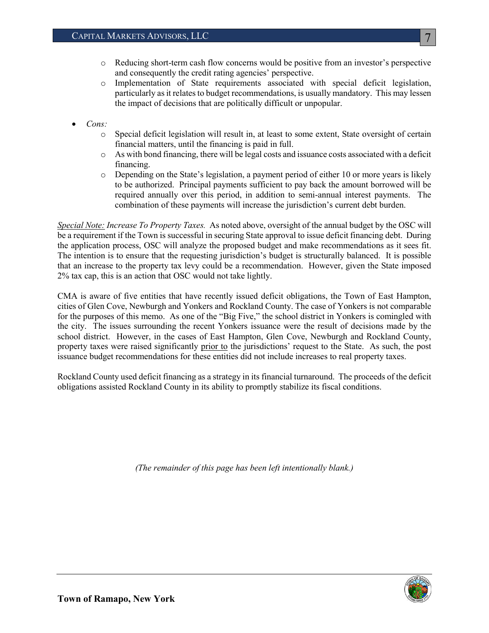- o Reducing short-term cash flow concerns would be positive from an investor's perspective and consequently the credit rating agencies' perspective.
- o Implementation of State requirements associated with special deficit legislation, particularly as it relates to budget recommendations, is usually mandatory. This may lessen the impact of decisions that are politically difficult or unpopular.
- *Cons:*
	- o Special deficit legislation will result in, at least to some extent, State oversight of certain financial matters, until the financing is paid in full.
	- o As with bond financing, there will be legal costs and issuance costs associated with a deficit financing.
	- o Depending on the State's legislation, a payment period of either 10 or more years is likely to be authorized. Principal payments sufficient to pay back the amount borrowed will be required annually over this period, in addition to semi-annual interest payments. The combination of these payments will increase the jurisdiction's current debt burden.

*Special Note: Increase To Property Taxes.* As noted above, oversight of the annual budget by the OSC will be a requirement if the Town is successful in securing State approval to issue deficit financing debt. During the application process, OSC will analyze the proposed budget and make recommendations as it sees fit. The intention is to ensure that the requesting jurisdiction's budget is structurally balanced. It is possible that an increase to the property tax levy could be a recommendation. However, given the State imposed 2% tax cap, this is an action that OSC would not take lightly.

CMA is aware of five entities that have recently issued deficit obligations, the Town of East Hampton, cities of Glen Cove, Newburgh and Yonkers and Rockland County. The case of Yonkers is not comparable for the purposes of this memo. As one of the "Big Five," the school district in Yonkers is comingled with the city. The issues surrounding the recent Yonkers issuance were the result of decisions made by the school district. However, in the cases of East Hampton, Glen Cove, Newburgh and Rockland County, property taxes were raised significantly prior to the jurisdictions' request to the State. As such, the post issuance budget recommendations for these entities did not include increases to real property taxes.

Rockland County used deficit financing as a strategy in its financial turnaround. The proceeds of the deficit obligations assisted Rockland County in its ability to promptly stabilize its fiscal conditions.

*(The remainder of this page has been left intentionally blank.)*

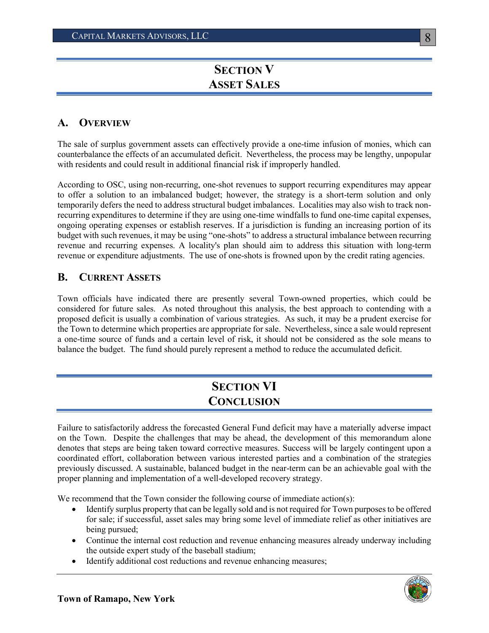# **SECTION V ASSET SALES**

### **A. OVERVIEW**

The sale of surplus government assets can effectively provide a one-time infusion of monies, which can counterbalance the effects of an accumulated deficit. Nevertheless, the process may be lengthy, unpopular with residents and could result in additional financial risk if improperly handled.

According to OSC, using non-recurring, one-shot revenues to support recurring expenditures may appear to offer a solution to an imbalanced budget; however, the strategy is a short-term solution and only temporarily defers the need to address structural budget imbalances. Localities may also wish to track nonrecurring expenditures to determine if they are using one-time windfalls to fund one-time capital expenses, ongoing operating expenses or establish reserves. If a jurisdiction is funding an increasing portion of its budget with such revenues, it may be using "one-shots" to address a structural imbalance between recurring revenue and recurring expenses. A locality's plan should aim to address this situation with long-term revenue or expenditure adjustments. The use of one-shots is frowned upon by the credit rating agencies.

### **B. CURRENT ASSETS**

Town officials have indicated there are presently several Town-owned properties, which could be considered for future sales. As noted throughout this analysis, the best approach to contending with a proposed deficit is usually a combination of various strategies. As such, it may be a prudent exercise for the Town to determine which properties are appropriate for sale. Nevertheless, since a sale would represent a one-time source of funds and a certain level of risk, it should not be considered as the sole means to balance the budget. The fund should purely represent a method to reduce the accumulated deficit.

# **SECTION VI CONCLUSION**

Failure to satisfactorily address the forecasted General Fund deficit may have a materially adverse impact on the Town. Despite the challenges that may be ahead, the development of this memorandum alone denotes that steps are being taken toward corrective measures. Success will be largely contingent upon a coordinated effort, collaboration between various interested parties and a combination of the strategies previously discussed. A sustainable, balanced budget in the near-term can be an achievable goal with the proper planning and implementation of a well-developed recovery strategy.

We recommend that the Town consider the following course of immediate action(s):

- Identify surplus property that can be legally sold and is not required for Town purposes to be offered for sale; if successful, asset sales may bring some level of immediate relief as other initiatives are being pursued;
- Continue the internal cost reduction and revenue enhancing measures already underway including the outside expert study of the baseball stadium;
- Identify additional cost reductions and revenue enhancing measures;